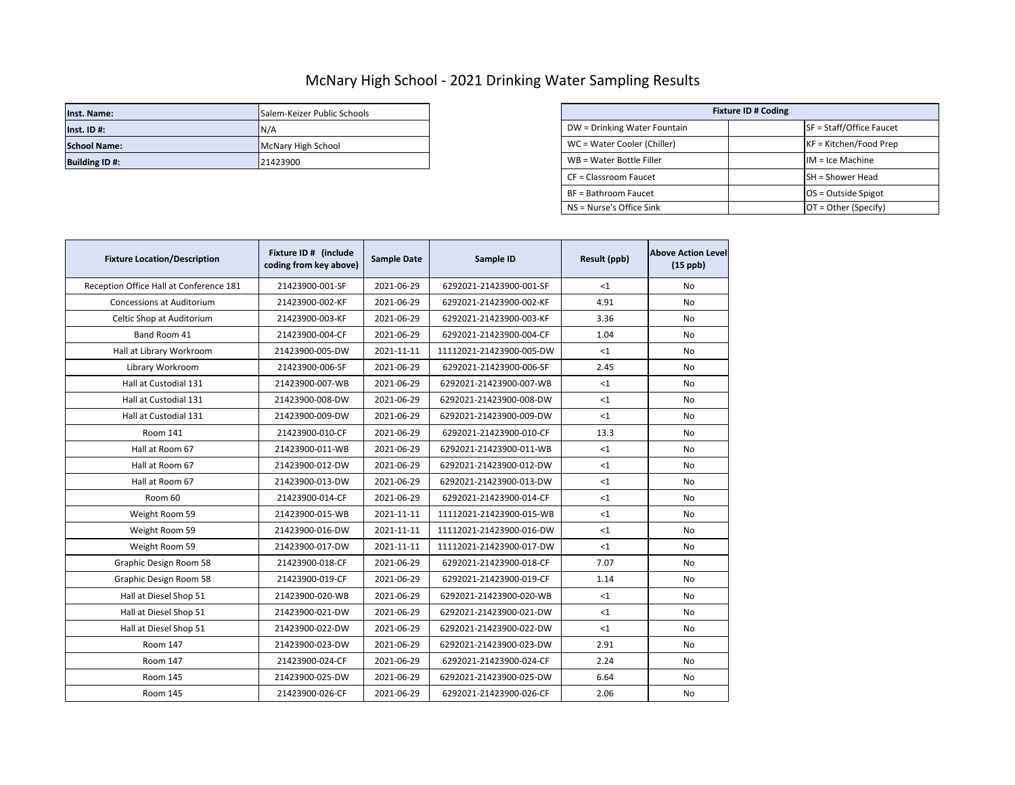## McNary High School - 2021 Drinking Water Sampling Results

| Inst. Name:           | Salem-Keizer Public Schools | <b>Fixture ID # Coding</b>   |  |                          |
|-----------------------|-----------------------------|------------------------------|--|--------------------------|
| $Inst.$ ID #:         | IN/A                        | DW = Drinking Water Fountain |  | SF = Staff/Office Faucet |
| <b>School Name:</b>   | McNary High School          | WC = Water Cooler (Chiller)  |  | KF = Kitchen/Food Prep   |
| <b>Building ID #:</b> | 21423900                    | WB = Water Bottle Filler     |  | $IM = Ice Machine$       |

| Salem-Keizer Public Schools | <b>Fixture ID # Coding</b>   |  |                          |  |
|-----------------------------|------------------------------|--|--------------------------|--|
| N/A                         | DW = Drinking Water Fountain |  | SF = Staff/Office Faucet |  |
| McNary High School          | WC = Water Cooler (Chiller)  |  | $KF = Kitchen/Food Prep$ |  |
| 21423900                    | WB = Water Bottle Filler     |  | $IM = Ice Machine$       |  |
|                             | CF = Classroom Faucet        |  | <b>SH</b> = Shower Head  |  |
|                             | BF = Bathroom Faucet         |  | $OS = Outside Spigot$    |  |
|                             | NS = Nurse's Office Sink     |  | $OT = Other (Specify)$   |  |

| <b>Fixture Location/Description</b>     | Fixture ID # (include<br>coding from key above) | <b>Sample Date</b> | Sample ID                | Result (ppb) | <b>Above Action Level</b><br>$(15$ ppb) |
|-----------------------------------------|-------------------------------------------------|--------------------|--------------------------|--------------|-----------------------------------------|
| Reception Office Hall at Conference 181 | 21423900-001-SF                                 | 2021-06-29         | 6292021-21423900-001-SF  | <1           | <b>No</b>                               |
| <b>Concessions at Auditorium</b>        | 21423900-002-KF                                 | 2021-06-29         | 6292021-21423900-002-KF  | 4.91         | No                                      |
| Celtic Shop at Auditorium               | 21423900-003-KF                                 | 2021-06-29         | 6292021-21423900-003-KF  | 3.36         | No                                      |
| Band Room 41                            | 21423900-004-CF                                 | 2021-06-29         | 6292021-21423900-004-CF  | 1.04         | No                                      |
| Hall at Library Workroom                | 21423900-005-DW                                 | 2021-11-11         | 11112021-21423900-005-DW | $\leq 1$     | No                                      |
| Library Workroom                        | 21423900-006-SF                                 | 2021-06-29         | 6292021-21423900-006-SF  | 2.45         | <b>No</b>                               |
| Hall at Custodial 131                   | 21423900-007-WB                                 | 2021-06-29         | 6292021-21423900-007-WB  | $<$ 1        | No                                      |
| Hall at Custodial 131                   | 21423900-008-DW                                 | 2021-06-29         | 6292021-21423900-008-DW  | <1           | No                                      |
| Hall at Custodial 131                   | 21423900-009-DW                                 | 2021-06-29         | 6292021-21423900-009-DW  | <1           | No                                      |
| Room 141                                | 21423900-010-CF                                 | 2021-06-29         | 6292021-21423900-010-CF  | 13.3         | No                                      |
| Hall at Room 67                         | 21423900-011-WB                                 | 2021-06-29         | 6292021-21423900-011-WB  | <1           | No                                      |
| Hall at Room 67                         | 21423900-012-DW                                 | 2021-06-29         | 6292021-21423900-012-DW  | <1           | No                                      |
| Hall at Room 67                         | 21423900-013-DW                                 | 2021-06-29         | 6292021-21423900-013-DW  | $\leq 1$     | No                                      |
| Room 60                                 | 21423900-014-CF                                 | 2021-06-29         | 6292021-21423900-014-CF  | $\leq 1$     | No                                      |
| Weight Room 59                          | 21423900-015-WB                                 | 2021-11-11         | 11112021-21423900-015-WB | $<$ 1        | No                                      |
| Weight Room 59                          | 21423900-016-DW                                 | 2021-11-11         | 11112021-21423900-016-DW | $<$ 1        | No                                      |
| Weight Room 59                          | 21423900-017-DW                                 | 2021-11-11         | 11112021-21423900-017-DW | $<$ 1        | No                                      |
| Graphic Design Room 58                  | 21423900-018-CF                                 | 2021-06-29         | 6292021-21423900-018-CF  | 7.07         | No                                      |
| Graphic Design Room 58                  | 21423900-019-CF                                 | 2021-06-29         | 6292021-21423900-019-CF  | 1.14         | No                                      |
| Hall at Diesel Shop 51                  | 21423900-020-WB                                 | 2021-06-29         | 6292021-21423900-020-WB  | $<$ 1        | No                                      |
| Hall at Diesel Shop 51                  | 21423900-021-DW                                 | 2021-06-29         | 6292021-21423900-021-DW  | $<$ 1        | No                                      |
| Hall at Diesel Shop 51                  | 21423900-022-DW                                 | 2021-06-29         | 6292021-21423900-022-DW  | $\leq 1$     | No                                      |
| Room 147                                | 21423900-023-DW                                 | 2021-06-29         | 6292021-21423900-023-DW  | 2.91         | No                                      |
| Room 147                                | 21423900-024-CF                                 | 2021-06-29         | 6292021-21423900-024-CF  | 2.24         | <b>No</b>                               |
| <b>Room 145</b>                         | 21423900-025-DW                                 | 2021-06-29         | 6292021-21423900-025-DW  | 6.64         | No                                      |
| <b>Room 145</b>                         | 21423900-026-CF                                 | 2021-06-29         | 6292021-21423900-026-CF  | 2.06         | No                                      |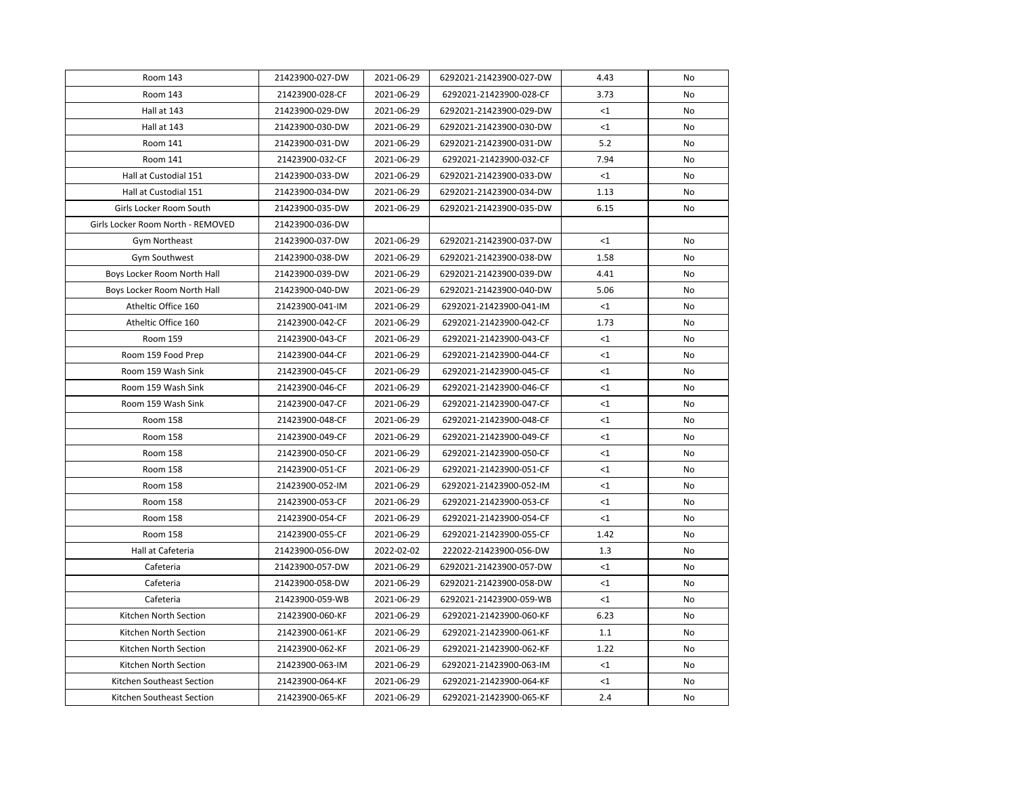| Room 143                          | 21423900-027-DW | 2021-06-29 | 6292021-21423900-027-DW | 4.43     | No |
|-----------------------------------|-----------------|------------|-------------------------|----------|----|
| Room 143                          | 21423900-028-CF | 2021-06-29 | 6292021-21423900-028-CF | 3.73     | No |
| Hall at 143                       | 21423900-029-DW | 2021-06-29 | 6292021-21423900-029-DW | $<$ 1    | No |
| Hall at 143                       | 21423900-030-DW | 2021-06-29 | 6292021-21423900-030-DW | $<$ 1    | No |
| Room 141                          | 21423900-031-DW | 2021-06-29 | 6292021-21423900-031-DW | 5.2      | No |
| Room 141                          | 21423900-032-CF | 2021-06-29 | 6292021-21423900-032-CF | 7.94     | No |
| Hall at Custodial 151             | 21423900-033-DW | 2021-06-29 | 6292021-21423900-033-DW | $<$ 1    | No |
| Hall at Custodial 151             | 21423900-034-DW | 2021-06-29 | 6292021-21423900-034-DW | 1.13     | No |
| Girls Locker Room South           | 21423900-035-DW | 2021-06-29 | 6292021-21423900-035-DW | 6.15     | No |
| Girls Locker Room North - REMOVED | 21423900-036-DW |            |                         |          |    |
| Gym Northeast                     | 21423900-037-DW | 2021-06-29 | 6292021-21423900-037-DW | <1       | No |
| Gym Southwest                     | 21423900-038-DW | 2021-06-29 | 6292021-21423900-038-DW | 1.58     | No |
| Boys Locker Room North Hall       | 21423900-039-DW | 2021-06-29 | 6292021-21423900-039-DW | 4.41     | No |
| Boys Locker Room North Hall       | 21423900-040-DW | 2021-06-29 | 6292021-21423900-040-DW | 5.06     | No |
| Atheltic Office 160               | 21423900-041-IM | 2021-06-29 | 6292021-21423900-041-IM | $<$ 1    | No |
| Atheltic Office 160               | 21423900-042-CF | 2021-06-29 | 6292021-21423900-042-CF | 1.73     | No |
| Room 159                          | 21423900-043-CF | 2021-06-29 | 6292021-21423900-043-CF | $<$ 1    | No |
| Room 159 Food Prep                | 21423900-044-CF | 2021-06-29 | 6292021-21423900-044-CF | $<$ 1    | No |
| Room 159 Wash Sink                | 21423900-045-CF | 2021-06-29 | 6292021-21423900-045-CF | <1       | No |
| Room 159 Wash Sink                | 21423900-046-CF | 2021-06-29 | 6292021-21423900-046-CF | $<$ 1    | No |
| Room 159 Wash Sink                | 21423900-047-CF | 2021-06-29 | 6292021-21423900-047-CF | $\leq$ 1 | No |
| Room 158                          | 21423900-048-CF | 2021-06-29 | 6292021-21423900-048-CF | $<$ 1    | No |
| Room 158                          | 21423900-049-CF | 2021-06-29 | 6292021-21423900-049-CF | $<$ 1    | No |
| Room 158                          | 21423900-050-CF | 2021-06-29 | 6292021-21423900-050-CF | $<$ 1    | No |
| Room 158                          | 21423900-051-CF | 2021-06-29 | 6292021-21423900-051-CF | $<$ 1    | No |
| <b>Room 158</b>                   | 21423900-052-IM | 2021-06-29 | 6292021-21423900-052-IM | <1       | No |
| Room 158                          | 21423900-053-CF | 2021-06-29 | 6292021-21423900-053-CF | $<$ 1    | No |
| <b>Room 158</b>                   | 21423900-054-CF | 2021-06-29 | 6292021-21423900-054-CF | <1       | No |
| Room 158                          | 21423900-055-CF | 2021-06-29 | 6292021-21423900-055-CF | 1.42     | No |
| Hall at Cafeteria                 | 21423900-056-DW | 2022-02-02 | 222022-21423900-056-DW  | 1.3      | No |
| Cafeteria                         | 21423900-057-DW | 2021-06-29 | 6292021-21423900-057-DW | $<$ 1    | No |
| Cafeteria                         | 21423900-058-DW | 2021-06-29 | 6292021-21423900-058-DW | $<$ 1    | No |
| Cafeteria                         | 21423900-059-WB | 2021-06-29 | 6292021-21423900-059-WB | $\leq 1$ | No |
| Kitchen North Section             | 21423900-060-KF | 2021-06-29 | 6292021-21423900-060-KF | 6.23     | No |
| Kitchen North Section             | 21423900-061-KF | 2021-06-29 | 6292021-21423900-061-KF | 1.1      | No |
| Kitchen North Section             | 21423900-062-KF | 2021-06-29 | 6292021-21423900-062-KF | 1.22     | No |
| Kitchen North Section             | 21423900-063-IM | 2021-06-29 | 6292021-21423900-063-IM | $<$ 1    | No |
| Kitchen Southeast Section         | 21423900-064-KF | 2021-06-29 | 6292021-21423900-064-KF | $<$ 1    | No |
| Kitchen Southeast Section         | 21423900-065-KF | 2021-06-29 | 6292021-21423900-065-KF | 2.4      | No |
|                                   |                 |            |                         |          |    |